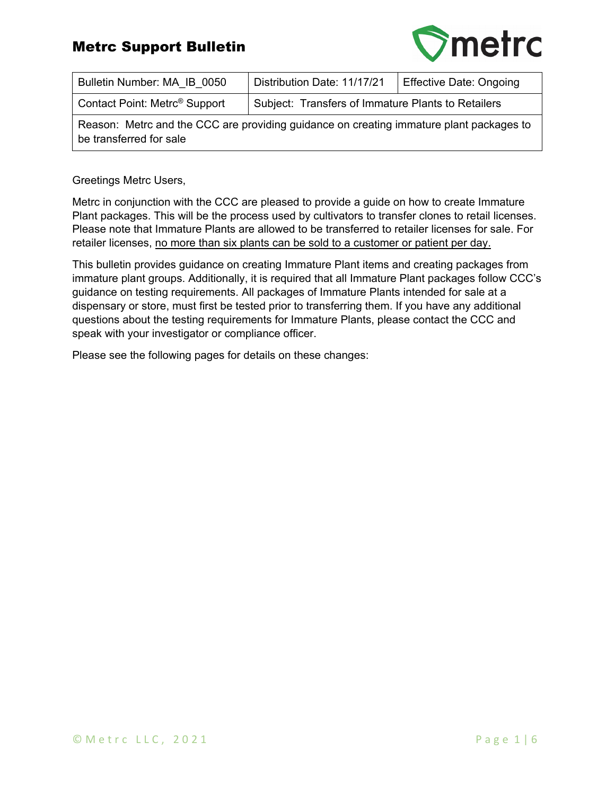

| Bulletin Number: MA IB 0050                                                                                        | Distribution Date: 11/17/21                        | <b>Effective Date: Ongoing</b> |  |  |  |
|--------------------------------------------------------------------------------------------------------------------|----------------------------------------------------|--------------------------------|--|--|--|
| Contact Point: Metrc <sup>®</sup> Support                                                                          | Subject: Transfers of Immature Plants to Retailers |                                |  |  |  |
| Reason: Metrc and the CCC are providing guidance on creating immature plant packages to<br>be transferred for sale |                                                    |                                |  |  |  |

Greetings Metrc Users,

Metrc in conjunction with the CCC are pleased to provide a guide on how to create Immature Plant packages. This will be the process used by cultivators to transfer clones to retail licenses. Please note that Immature Plants are allowed to be transferred to retailer licenses for sale. For retailer licenses, no more than six plants can be sold to a customer or patient per day.

This bulletin provides guidance on creating Immature Plant items and creating packages from immature plant groups. Additionally, it is required that all Immature Plant packages follow CCC's guidance on testing requirements. All packages of Immature Plants intended for sale at a dispensary or store, must first be tested prior to transferring them. If you have any additional questions about the testing requirements for Immature Plants, please contact the CCC and speak with your investigator or compliance officer.

Please see the following pages for details on these changes: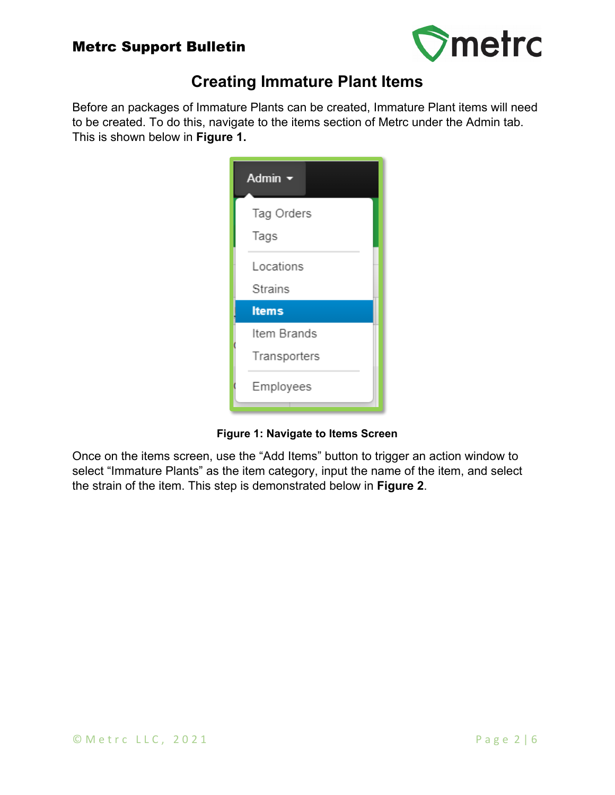

# **Creating Immature Plant Items**

Before an packages of Immature Plants can be created, Immature Plant items will need to be created. To do this, navigate to the items section of Metrc under the Admin tab. This is shown below in **Figure 1.**

| Admin <del>v</del>          |  |
|-----------------------------|--|
| Tag Orders<br>Tags          |  |
| Locations<br><b>Strains</b> |  |
| <b>Items</b>                |  |
| Item Brands<br>Transporters |  |
| Employees                   |  |

**Figure 1: Navigate to Items Screen**

Once on the items screen, use the "Add Items" button to trigger an action window to select "Immature Plants" as the item category, input the name of the item, and select the strain of the item. This step is demonstrated below in **Figure 2**.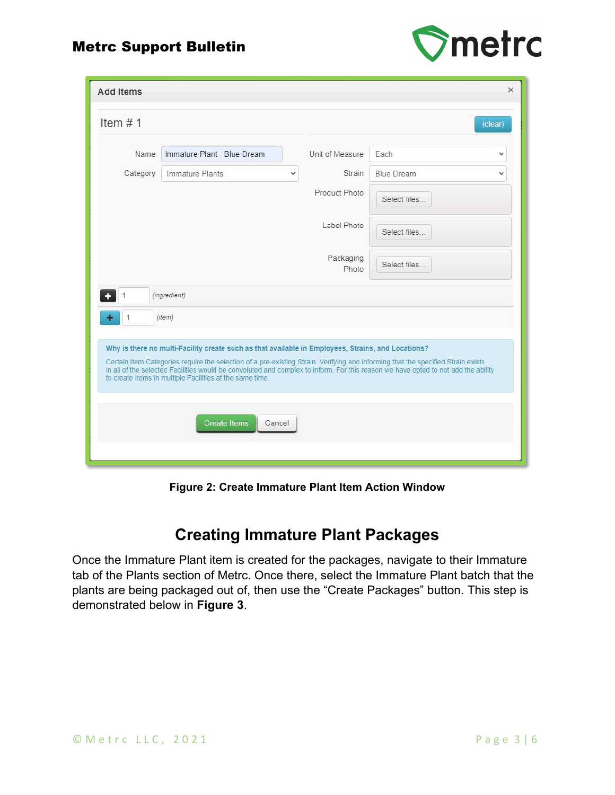

| <b>Add Items</b>                                                                                                                                                                                                                                                                                                                                                                                                                        | $\times$               |
|-----------------------------------------------------------------------------------------------------------------------------------------------------------------------------------------------------------------------------------------------------------------------------------------------------------------------------------------------------------------------------------------------------------------------------------------|------------------------|
| Item $# 1$                                                                                                                                                                                                                                                                                                                                                                                                                              | (clear)                |
| Immature Plant - Blue Dream<br>Unit of Measure<br>Name                                                                                                                                                                                                                                                                                                                                                                                  | Each<br>v              |
| Strain<br>Category<br>Immature Plants<br>$\checkmark$                                                                                                                                                                                                                                                                                                                                                                                   | <b>Blue Dream</b><br>v |
| Product Photo                                                                                                                                                                                                                                                                                                                                                                                                                           | Select files           |
| Label Photo                                                                                                                                                                                                                                                                                                                                                                                                                             | Select files           |
| Packaging<br>Photo                                                                                                                                                                                                                                                                                                                                                                                                                      | Select files           |
| (ingredient)<br>1                                                                                                                                                                                                                                                                                                                                                                                                                       |                        |
| $\mathbf{1}$<br>(item)                                                                                                                                                                                                                                                                                                                                                                                                                  |                        |
|                                                                                                                                                                                                                                                                                                                                                                                                                                         |                        |
| Why is there no multi-Facility create such as that available in Employees, Strains, and Locations?<br>Certain Item Categories require the selection of a pre-existing Strain. Verifying and informing that the specified Strain exists<br>in all of the selected Facilities would be convoluted and complex to inform. For this reason we have opted to not add the ability<br>to create Items in multiple Facilities at the same time. |                        |
| <b>Create Items</b><br>Cancel                                                                                                                                                                                                                                                                                                                                                                                                           |                        |

**Figure 2: Create Immature Plant Item Action Window**

## **Creating Immature Plant Packages**

Once the Immature Plant item is created for the packages, navigate to their Immature tab of the Plants section of Metrc. Once there, select the Immature Plant batch that the plants are being packaged out of, then use the "Create Packages" button. This step is demonstrated below in **Figure 3**.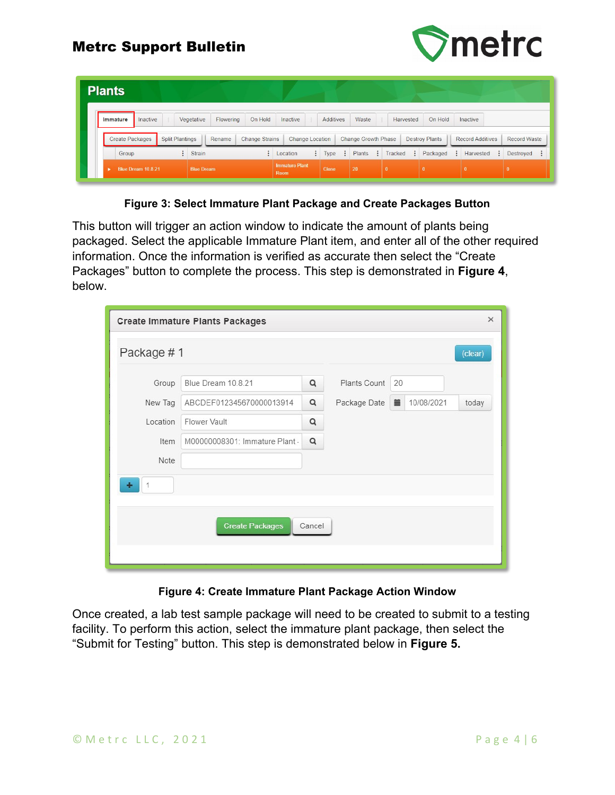



| <b>Plants</b>          |                    |                        |                          |           |                       |                               |   |              |                     |          |              |                       |                         |                          |
|------------------------|--------------------|------------------------|--------------------------|-----------|-----------------------|-------------------------------|---|--------------|---------------------|----------|--------------|-----------------------|-------------------------|--------------------------|
| Immature               | Inactive           |                        | Vegetative               | Flowering | On Hold               | Inactive                      |   | Additives    | Waste               |          | Harvested    | On Hold               | <b>Inactive</b>         |                          |
| <b>Create Packages</b> |                    | <b>Split Plantings</b> |                          | Rename    | <b>Change Strains</b> | <b>Change Location</b>        |   |              | Change Growth Phase |          |              | <b>Destroy Plants</b> | <b>Record Additives</b> | <b>Record Waste</b>      |
| Group                  |                    |                        | $\ddot{\cdot}$<br>Strain |           | ٠                     | Location                      | ÷ | Type         | ÷<br>Plants         | $\vdots$ | Tracked      | Packaged              | ÷<br>Harvested          | Destroyed :<br>$\bullet$ |
| ٠                      | Blue Dream 10.8.21 |                        | <b>Blue Dream</b>        |           |                       | <b>Immature Plant</b><br>Room |   | <b>Clone</b> | 20                  |          | $\mathbf{0}$ | $\mathbf{0}$          |                         |                          |

**Figure 3: Select Immature Plant Package and Create Packages Button**

This button will trigger an action window to indicate the amount of plants being packaged. Select the applicable Immature Plant item, and enter all of the other required information. Once the information is verified as accurate then select the "Create Packages" button to complete the process. This step is demonstrated in **Figure 4**, below.

| <b>Create Immature Plants Packages</b> |                                |        |              |    |            |         |  |  |
|----------------------------------------|--------------------------------|--------|--------------|----|------------|---------|--|--|
| Package #1                             |                                |        |              |    |            | (clear) |  |  |
| Group                                  | Blue Dream 10.8.21             | Q      | Plants Count | 20 |            |         |  |  |
| New Tag                                | ABCDEF012345670000013914       | Q      | Package Date | 盖  | 10/08/2021 | today   |  |  |
| Location                               | Flower Vault                   | Q      |              |    |            |         |  |  |
| Item                                   | M00000008301: Immature Plant - | Q      |              |    |            |         |  |  |
| Note                                   |                                |        |              |    |            |         |  |  |
| 1<br>÷                                 |                                |        |              |    |            |         |  |  |
|                                        |                                |        |              |    |            |         |  |  |
|                                        | <b>Create Packages</b>         | Cancel |              |    |            |         |  |  |
|                                        |                                |        |              |    |            |         |  |  |
|                                        |                                |        |              |    |            |         |  |  |

#### **Figure 4: Create Immature Plant Package Action Window**

Once created, a lab test sample package will need to be created to submit to a testing facility. To perform this action, select the immature plant package, then select the "Submit for Testing" button. This step is demonstrated below in **Figure 5.**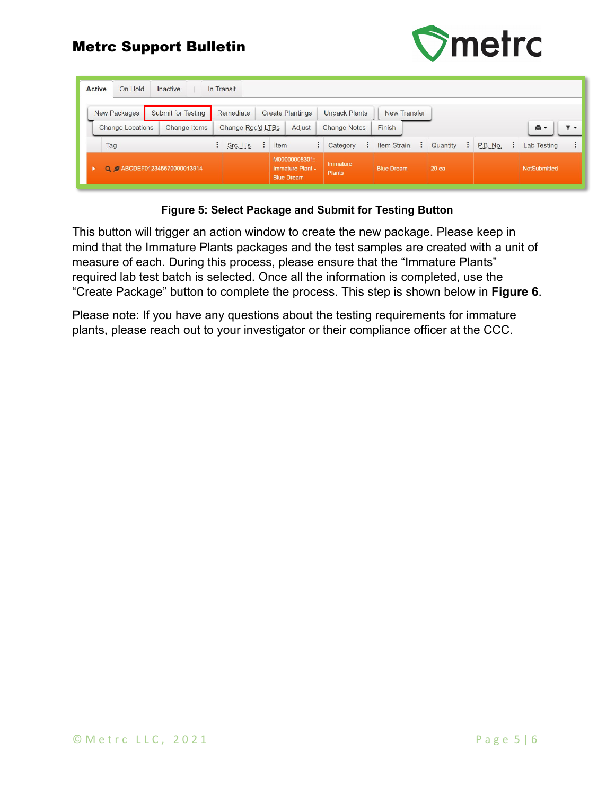

| <b>Active</b><br>On Hold | Inactive                  | In Transit        |                                                        |                           |                   |          |                 |                                            |
|--------------------------|---------------------------|-------------------|--------------------------------------------------------|---------------------------|-------------------|----------|-----------------|--------------------------------------------|
| New Packages             | <b>Submit for Testing</b> | Remediate         | <b>Create Plantings</b>                                | <b>Unpack Plants</b>      | New Transfer      |          |                 |                                            |
| <b>Change Locations</b>  | Change Items              | Change Reg'd LTBs | Adjust                                                 | <b>Change Notes</b>       | Finish            |          |                 | $\overline{\mathbf{v}}$ $\mathbf{v}$<br>ê۰ |
| Tag                      |                           | Src. H's          | Item<br>÷                                              | Category                  | Item Strain<br>÷  | Quantity | <b>P.B. No.</b> | <b>Lab Testing</b>                         |
|                          | Q BCDEF012345670000013914 |                   | M00000008301:<br>Immature Plant -<br><b>Blue Dream</b> | Immature<br><b>Plants</b> | <b>Blue Dream</b> | 20 ea    |                 | NotSubmitted                               |

#### **Figure 5: Select Package and Submit for Testing Button**

This button will trigger an action window to create the new package. Please keep in mind that the Immature Plants packages and the test samples are created with a unit of measure of each. During this process, please ensure that the "Immature Plants" required lab test batch is selected. Once all the information is completed, use the "Create Package" button to complete the process. This step is shown below in **Figure 6**.

Please note: If you have any questions about the testing requirements for immature plants, please reach out to your investigator or their compliance officer at the CCC.